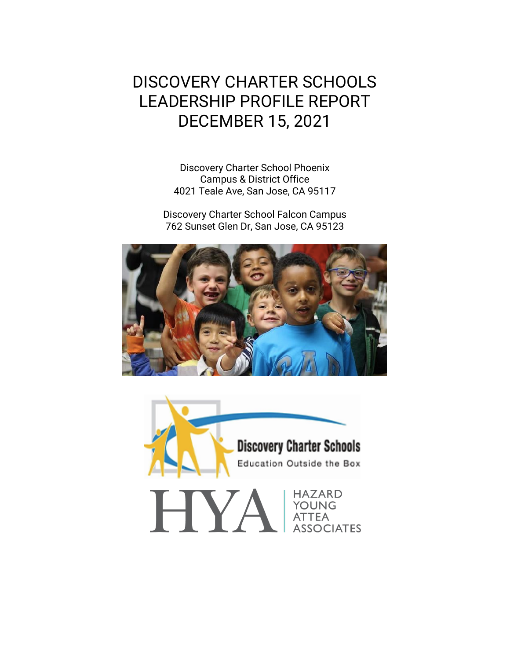# DISCOVERY CHARTER SCHOOLS LEADERSHIP PROFILE REPORT DECEMBER 15, 2021

Discovery Charter School Phoenix Campus & District Office 4021 Teale Ave, San Jose, CA 95117

Discovery Charter School Falcon Campus 762 Sunset Glen Dr, San Jose, CA 95123



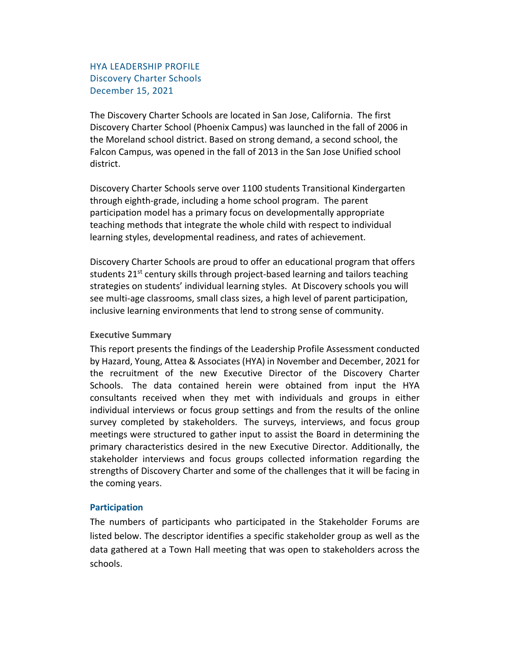## HYA LEADERSHIP PROFILE Discovery Charter Schools December 15, 2021

The Discovery Charter Schools are located in San Jose, California. The first Discovery Charter School (Phoenix Campus) was launched in the fall of 2006 in the Moreland school district. Based on strong demand, a second school, the Falcon Campus, was opened in the fall of 2013 in the San Jose Unified school district.

Discovery Charter Schools serve over 1100 students Transitional Kindergarten through eighth-grade, including a home school program. The parent participation model has a primary focus on developmentally appropriate teaching methods that integrate the whole child with respect to individual learning styles, developmental readiness, and rates of achievement.

Discovery Charter Schools are proud to offer an educational program that offers students  $21^{st}$  century skills through project-based learning and tailors teaching strategies on students' individual learning styles. At Discovery schools you will see multi-age classrooms, small class sizes, a high level of parent participation, inclusive learning environments that lend to strong sense of community.

#### **Executive Summary**

This report presents the findings of the Leadership Profile Assessment conducted by Hazard, Young, Attea & Associates (HYA) in November and December, 2021 for the recruitment of the new Executive Director of the Discovery Charter Schools. The data contained herein were obtained from input the HYA consultants received when they met with individuals and groups in either individual interviews or focus group settings and from the results of the online survey completed by stakeholders. The surveys, interviews, and focus group meetings were structured to gather input to assist the Board in determining the primary characteristics desired in the new Executive Director. Additionally, the stakeholder interviews and focus groups collected information regarding the strengths of Discovery Charter and some of the challenges that it will be facing in the coming years.

#### **Participation**

The numbers of participants who participated in the Stakeholder Forums are listed below. The descriptor identifies a specific stakeholder group as well as the data gathered at a Town Hall meeting that was open to stakeholders across the schools.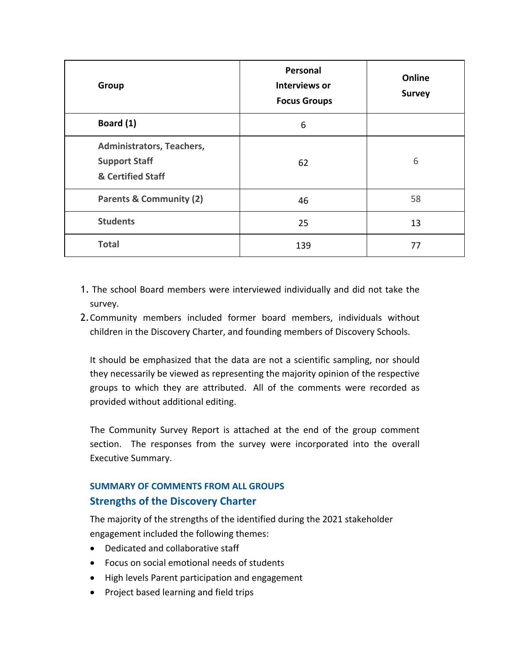| Group                                                                  | Personal<br>Interviews or<br><b>Focus Groups</b> | Online<br><b>Survey</b> |
|------------------------------------------------------------------------|--------------------------------------------------|-------------------------|
| Board (1)                                                              | 6                                                |                         |
| Administrators, Teachers,<br><b>Support Staff</b><br>& Certified Staff | 62                                               | 6                       |
| <b>Parents &amp; Community (2)</b>                                     | 46                                               | 58                      |
| <b>Students</b>                                                        | 25                                               | 13                      |
| <b>Total</b>                                                           | 139                                              | 77                      |

- 1. The school Board members were interviewed individually and did not take the survey.
- 2.Community members included former board members, individuals without children in the Discovery Charter, and founding members of Discovery Schools.

It should be emphasized that the data are not a scientific sampling, nor should they necessarily be viewed as representing the majority opinion of the respective groups to which they are attributed. All of the comments were recorded as provided without additional editing.

The Community Survey Report is attached at the end of the group comment section. The responses from the survey were incorporated into the overall Executive Summary.

## **SUMMARY OF COMMENTS FROM ALL GROUPS Strengths of the Discovery Charter**

The majority of the strengths of the identified during the 2021 stakeholder engagement included the following themes:

- Dedicated and collaborative staff
- Focus on social emotional needs of students
- High levels Parent participation and engagement
- Project based learning and field trips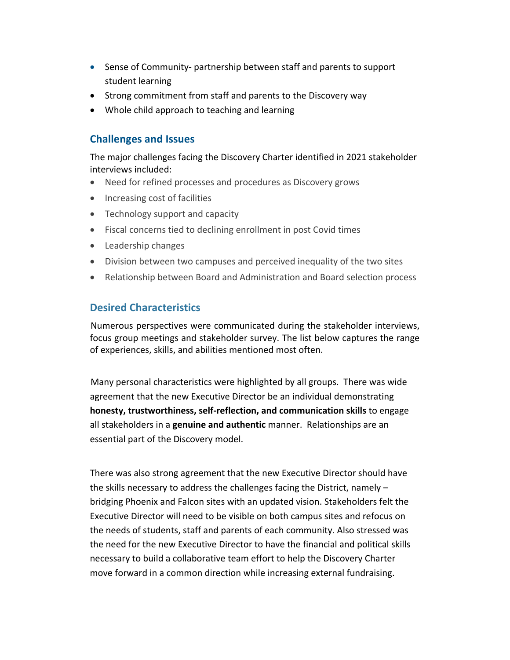- Sense of Community- partnership between staff and parents to support student learning
- Strong commitment from staff and parents to the Discovery way
- Whole child approach to teaching and learning

## **Challenges and Issues**

The major challenges facing the Discovery Charter identified in 2021 stakeholder interviews included:

- Need for refined processes and procedures as Discovery grows
- Increasing cost of facilities
- Technology support and capacity
- Fiscal concerns tied to declining enrollment in post Covid times
- Leadership changes
- Division between two campuses and perceived inequality of the two sites
- Relationship between Board and Administration and Board selection process

## **Desired Characteristics**

Numerous perspectives were communicated during the stakeholder interviews, focus group meetings and stakeholder survey. The list below captures the range of experiences, skills, and abilities mentioned most often.

Many personal characteristics were highlighted by all groups. There was wide agreement that the new Executive Director be an individual demonstrating **honesty, trustworthiness, self-reflection, and communication skills** to engage all stakeholders in a **genuine and authentic** manner. Relationships are an essential part of the Discovery model.

There was also strong agreement that the new Executive Director should have the skills necessary to address the challenges facing the District, namely – bridging Phoenix and Falcon sites with an updated vision. Stakeholders felt the Executive Director will need to be visible on both campus sites and refocus on the needs of students, staff and parents of each community. Also stressed was the need for the new Executive Director to have the financial and political skills necessary to build a collaborative team effort to help the Discovery Charter move forward in a common direction while increasing external fundraising.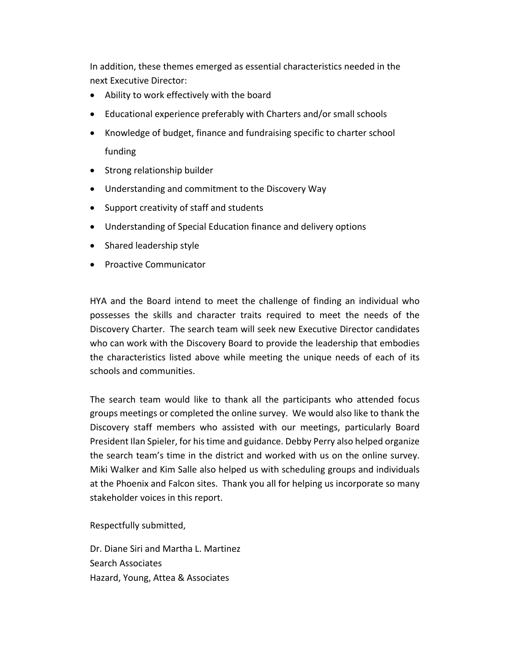In addition, these themes emerged as essential characteristics needed in the next Executive Director:

- Ability to work effectively with the board
- Educational experience preferably with Charters and/or small schools
- Knowledge of budget, finance and fundraising specific to charter school funding
- Strong relationship builder
- Understanding and commitment to the Discovery Way
- Support creativity of staff and students
- Understanding of Special Education finance and delivery options
- Shared leadership style
- Proactive Communicator

HYA and the Board intend to meet the challenge of finding an individual who possesses the skills and character traits required to meet the needs of the Discovery Charter. The search team will seek new Executive Director candidates who can work with the Discovery Board to provide the leadership that embodies the characteristics listed above while meeting the unique needs of each of its schools and communities.

The search team would like to thank all the participants who attended focus groups meetings or completed the online survey. We would also like to thank the Discovery staff members who assisted with our meetings, particularly Board President Ilan Spieler, for histime and guidance. Debby Perry also helped organize the search team's time in the district and worked with us on the online survey. Miki Walker and Kim Salle also helped us with scheduling groups and individuals at the Phoenix and Falcon sites. Thank you all for helping us incorporate so many stakeholder voices in this report.

Respectfully submitted,

Dr. Diane Siri and Martha L. Martinez Search Associates Hazard, Young, Attea & Associates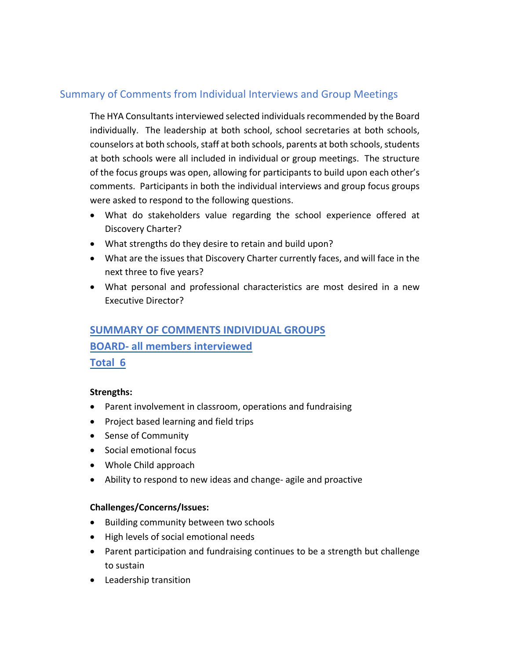## Summary of Comments from Individual Interviews and Group Meetings

The HYA Consultants interviewed selected individuals recommended by the Board individually. The leadership at both school, school secretaries at both schools, counselors at both schools, staff at both schools, parents at both schools, students at both schools were all included in individual or group meetings. The structure of the focus groups was open, allowing for participants to build upon each other's comments. Participants in both the individual interviews and group focus groups were asked to respond to the following questions.

- What do stakeholders value regarding the school experience offered at Discovery Charter?
- What strengths do they desire to retain and build upon?
- What are the issues that Discovery Charter currently faces, and will face in the next three to five years?
- What personal and professional characteristics are most desired in a new Executive Director?

# **SUMMARY OF COMMENTS INDIVIDUAL GROUPS BOARD- all members interviewed Total 6**

## **Strengths:**

- Parent involvement in classroom, operations and fundraising
- Project based learning and field trips
- Sense of Community
- Social emotional focus
- Whole Child approach
- Ability to respond to new ideas and change- agile and proactive

## **Challenges/Concerns/Issues:**

- Building community between two schools
- High levels of social emotional needs
- Parent participation and fundraising continues to be a strength but challenge to sustain
- Leadership transition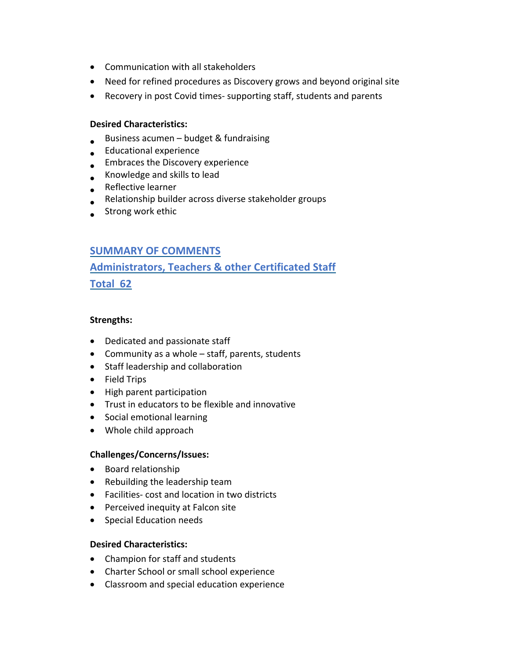- Communication with all stakeholders
- Need for refined procedures as Discovery grows and beyond original site
- Recovery in post Covid times- supporting staff, students and parents

#### **Desired Characteristics:**

- Business acumen budget & fundraising
- Educational experience
- **•** Embraces the Discovery experience
- Knowledge and skills to lead
- Reflective learner
- Relationship builder across diverse stakeholder groups
- **•** Strong work ethic

## **SUMMARY OF COMMENTS**

# **Administrators, Teachers & other Certificated Staff Total 62**

#### **Strengths:**

- Dedicated and passionate staff
- Community as a whole staff, parents, students
- Staff leadership and collaboration
- Field Trips
- High parent participation
- Trust in educators to be flexible and innovative
- Social emotional learning
- Whole child approach

#### **Challenges/Concerns/Issues:**

- Board relationship
- Rebuilding the leadership team
- Facilities- cost and location in two districts
- Perceived inequity at Falcon site
- Special Education needs

#### **Desired Characteristics:**

- Champion for staff and students
- Charter School or small school experience
- Classroom and special education experience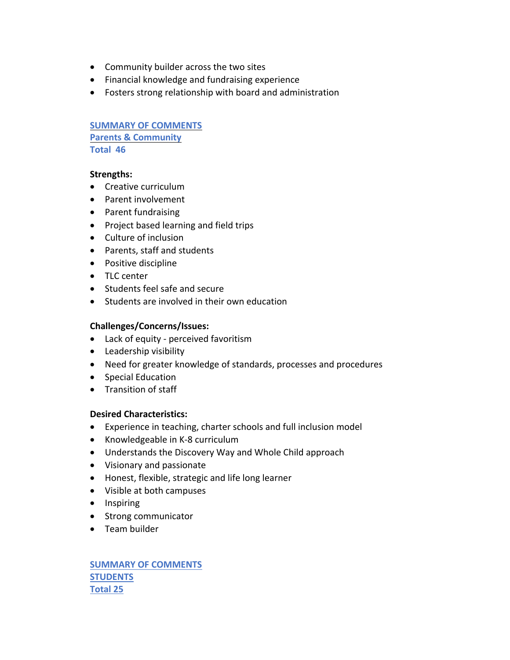- Community builder across the two sites
- Financial knowledge and fundraising experience
- Fosters strong relationship with board and administration

**SUMMARY OF COMMENTS Parents & Community Total 46**

#### **Strengths:**

- Creative curriculum
- Parent involvement
- Parent fundraising
- Project based learning and field trips
- Culture of inclusion
- Parents, staff and students
- Positive discipline
- TLC center
- Students feel safe and secure
- Students are involved in their own education

#### **Challenges/Concerns/Issues:**

- Lack of equity perceived favoritism
- Leadership visibility
- Need for greater knowledge of standards, processes and procedures
- Special Education
- Transition of staff

#### **Desired Characteristics:**

- Experience in teaching, charter schools and full inclusion model
- Knowledgeable in K-8 curriculum
- Understands the Discovery Way and Whole Child approach
- Visionary and passionate
- Honest, flexible, strategic and life long learner
- Visible at both campuses
- Inspiring
- Strong communicator
- Team builder

**SUMMARY OF COMMENTS STUDENTS Total 25**